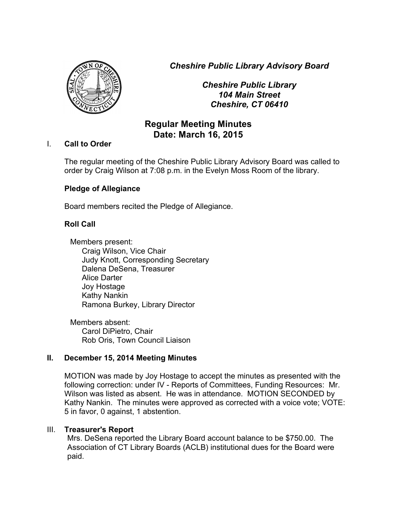*Cheshire Public Library Advisory Board*



*Cheshire Public Library 104 Main Street Cheshire, CT 06410*

# **Regular Meeting Minutes Date: March 16, 2015**

### I. **Call to Order**

The regular meeting of the Cheshire Public Library Advisory Board was called to order by Craig Wilson at 7:08 p.m. in the Evelyn Moss Room of the library.

## **Pledge of Allegiance**

Board members recited the Pledge of Allegiance.

## **Roll Call**

Members present: Craig Wilson, Vice Chair Judy Knott, Corresponding Secretary Dalena DeSena, Treasurer Alice Darter Joy Hostage Kathy Nankin Ramona Burkey, Library Director

Members absent: Carol DiPietro, Chair Rob Oris, Town Council Liaison

## **II. December 15, 2014 Meeting Minutes**

MOTION was made by Joy Hostage to accept the minutes as presented with the following correction: under IV - Reports of Committees, Funding Resources: Mr. Wilson was listed as absent. He was in attendance. MOTION SECONDED by Kathy Nankin. The minutes were approved as corrected with a voice vote; VOTE: 5 in favor, 0 against, 1 abstention.

## III. **Treasurer's Report**

Mrs. DeSena reported the Library Board account balance to be \$750.00. The Association of CT Library Boards (ACLB) institutional dues for the Board were paid.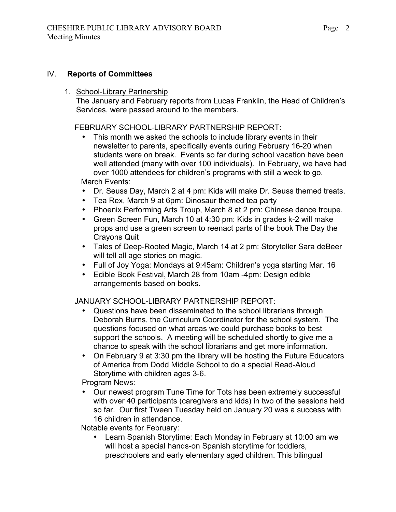### IV. **Reports of Committees**

1. School-Library Partnership

The January and February reports from Lucas Franklin, the Head of Children's Services, were passed around to the members.

FEBRUARY SCHOOL-LIBRARY PARTNERSHIP REPORT:

- This month we asked the schools to include library events in their newsletter to parents, specifically events during February 16-20 when students were on break. Events so far during school vacation have been well attended (many with over 100 individuals). In February, we have had over 1000 attendees for children's programs with still a week to go. March Events:
- Dr. Seuss Day, March 2 at 4 pm: Kids will make Dr. Seuss themed treats.
- Tea Rex, March 9 at 6pm: Dinosaur themed tea party
- Phoenix Performing Arts Troup, March 8 at 2 pm: Chinese dance troupe.
- Green Screen Fun, March 10 at 4:30 pm: Kids in grades k-2 will make props and use a green screen to reenact parts of the book The Day the Crayons Quit
- Tales of Deep-Rooted Magic, March 14 at 2 pm: Storyteller Sara deBeer will tell all age stories on magic.
- Full of Joy Yoga: Mondays at 9:45am: Children's yoga starting Mar. 16
- Edible Book Festival, March 28 from 10am -4pm: Design edible arrangements based on books.

JANUARY SCHOOL-LIBRARY PARTNERSHIP REPORT:

- Questions have been disseminated to the school librarians through Deborah Burns, the Curriculum Coordinator for the school system. The questions focused on what areas we could purchase books to best support the schools. A meeting will be scheduled shortly to give me a chance to speak with the school librarians and get more information.
- On February 9 at 3:30 pm the library will be hosting the Future Educators of America from Dodd Middle School to do a special Read-Aloud Storytime with children ages 3-6.

Program News:

• Our newest program Tune Time for Tots has been extremely successful with over 40 participants (caregivers and kids) in two of the sessions held so far. Our first Tween Tuesday held on January 20 was a success with 16 children in attendance.

Notable events for February:

• Learn Spanish Storytime: Each Monday in February at 10:00 am we will host a special hands-on Spanish storytime for toddlers, preschoolers and early elementary aged children. This bilingual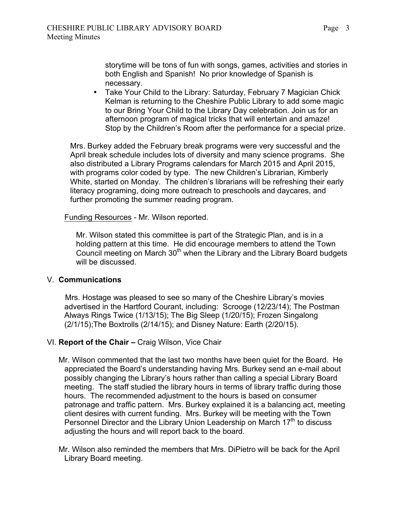storytime will be tons of fun with songs, games, activities and stories in both English and Spanish! No prior knowledge of Spanish is necessary.

• Take Your Child to the Library: Saturday, February 7 Magician Chick Kelman is returning to the Cheshire Public Library to add some magic to our Bring Your Child to the Library Day celebration. Join us for an afternoon program of magical tricks that will entertain and amaze! Stop by the Children's Room after the performance for a special prize.

Mrs. Burkey added the February break programs were very successful and the April break schedule includes lots of diversity and many science programs. She also distributed a Library Programs calendars for March 2015 and April 2015, with programs color coded by type. The new Children's Librarian, Kimberly White, started on Monday. The children's librarians will be refreshing their early literacy programing, doing more outreach to preschools and daycares, and further promoting the summer reading program.

Funding Resources - Mr. Wilson reported.

Mr. Wilson stated this committee is part of the Strategic Plan, and is in a holding pattern at this time. He did encourage members to attend the Town Council meeting on March  $30<sup>th</sup>$  when the Library and the Library Board budgets will be discussed.

#### V. **Communications**

 Mrs. Hostage was pleased to see so many of the Cheshire Library's movies advertised in the Hartford Courant, including: Scrooge (12/23/14); The Postman Always Rings Twice (1/13/15); The Big Sleep (1/20/15); Frozen Singalong (2/1/15);The Boxtrolls (2/14/15); and Disney Nature: Earth (2/20/15).

#### VI. **Report of the Chair –** Craig Wilson, Vice Chair

- Mr. Wilson commented that the last two months have been quiet for the Board. He appreciated the Board's understanding having Mrs. Burkey send an e-mail about possibly changing the Library's hours rather than calling a special Library Board meeting. The staff studied the library hours in terms of library traffic during those hours. The recommended adjustment to the hours is based on consumer patronage and traffic pattern. Mrs. Burkey explained it is a balancing act, meeting client desires with current funding. Mrs. Burkey will be meeting with the Town Personnel Director and the Library Union Leadership on March  $17<sup>th</sup>$  to discuss adjusting the hours and will report back to the board.
- Mr. Wilson also reminded the members that Mrs. DiPietro will be back for the April Library Board meeting.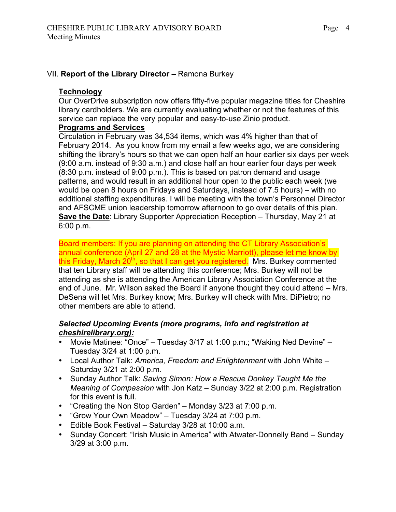#### VII. **Report of the Library Director –** Ramona Burkey

#### **Technology**

Our OverDrive subscription now offers fifty-five popular magazine titles for Cheshire library cardholders. We are currently evaluating whether or not the features of this service can replace the very popular and easy-to-use Zinio product.

#### **Programs and Services**

Circulation in February was 34,534 items, which was 4% higher than that of February 2014. As you know from my email a few weeks ago, we are considering shifting the library's hours so that we can open half an hour earlier six days per week (9:00 a.m. instead of 9:30 a.m.) and close half an hour earlier four days per week (8:30 p.m. instead of 9:00 p.m.). This is based on patron demand and usage patterns, and would result in an additional hour open to the public each week (we would be open 8 hours on Fridays and Saturdays, instead of 7.5 hours) – with no additional staffing expenditures. I will be meeting with the town's Personnel Director and AFSCME union leadership tomorrow afternoon to go over details of this plan. **Save the Date**: Library Supporter Appreciation Reception – Thursday, May 21 at 6:00 p.m.

Board members: If you are planning on attending the CT Library Association's annual conference (April 27 and 28 at the Mystic Marriott), please let me know by this Friday, March 20<sup>th</sup>, so that I can get you registered. Mrs. Burkey commented that ten Library staff will be attending this conference; Mrs. Burkey will not be attending as she is attending the American Library Association Conference at the end of June. Mr. Wilson asked the Board if anyone thought they could attend – Mrs. DeSena will let Mrs. Burkey know; Mrs. Burkey will check with Mrs. DiPietro; no other members are able to attend.

#### *Selected Upcoming Events (more programs, info and registration at cheshirelibrary.org):*

- Movie Matinee: "Once" Tuesday 3/17 at 1:00 p.m.; "Waking Ned Devine" Tuesday 3/24 at 1:00 p.m.
- Local Author Talk: *America, Freedom and Enlightenment* with John White Saturday 3/21 at 2:00 p.m.
- Sunday Author Talk: *Saving Simon: How a Rescue Donkey Taught Me the Meaning of Compassion* with Jon Katz – Sunday 3/22 at 2:00 p.m. Registration for this event is full.
- "Creating the Non Stop Garden" Monday 3/23 at 7:00 p.m.
- "Grow Your Own Meadow" Tuesday 3/24 at 7:00 p.m.
- Edible Book Festival Saturday 3/28 at 10:00 a.m.
- Sunday Concert: "Irish Music in America" with Atwater-Donnelly Band Sunday 3/29 at 3:00 p.m.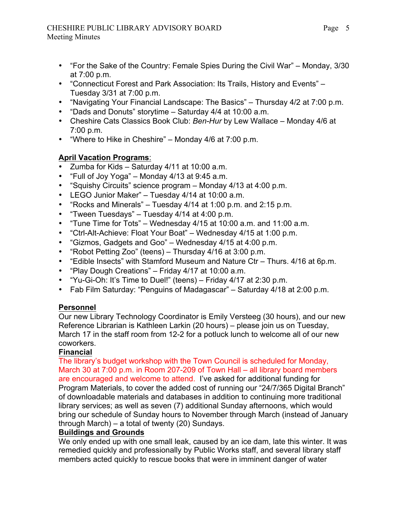### CHESHIRE PUBLIC LIBRARY ADVISORY BOARD Meeting Minutes

- "For the Sake of the Country: Female Spies During the Civil War" Monday, 3/30 at 7:00 p.m.
- "Connecticut Forest and Park Association: Its Trails, History and Events" Tuesday 3/31 at 7:00 p.m.
- "Navigating Your Financial Landscape: The Basics" Thursday 4/2 at 7:00 p.m.
- "Dads and Donuts" storytime Saturday 4/4 at 10:00 a.m.
- Cheshire Cats Classics Book Club: *Ben-Hur* by Lew Wallace Monday 4/6 at 7:00 p.m.
- "Where to Hike in Cheshire" Monday 4/6 at 7:00 p.m.

## **April Vacation Programs**:

- Zumba for Kids Saturday 4/11 at 10:00 a.m.
- "Full of Joy Yoga" Monday 4/13 at 9:45 a.m.
- "Squishy Circuits" science program Monday 4/13 at 4:00 p.m.
- LEGO Junior Maker" Tuesday 4/14 at 10:00 a.m.
- "Rocks and Minerals" Tuesday 4/14 at 1:00 p.m. and 2:15 p.m.
- "Tween Tuesdays" Tuesday 4/14 at 4:00 p.m.
- "Tune Time for Tots" Wednesday 4/15 at 10:00 a.m. and 11:00 a.m.
- "Ctrl-Alt-Achieve: Float Your Boat" Wednesday 4/15 at 1:00 p.m.
- "Gizmos, Gadgets and Goo" Wednesday 4/15 at 4:00 p.m.
- "Robot Petting Zoo" (teens) Thursday 4/16 at 3:00 p.m.
- "Edible Insects" with Stamford Museum and Nature Ctr Thurs. 4/16 at 6p.m.
- "Play Dough Creations" Friday 4/17 at 10:00 a.m.
- "Yu-Gi-Oh: It's Time to Duel!" (teens) Friday 4/17 at 2:30 p.m.
- Fab Film Saturday: "Penguins of Madagascar" Saturday 4/18 at 2:00 p.m.

## **Personnel**

Our new Library Technology Coordinator is Emily Versteeg (30 hours), and our new Reference Librarian is Kathleen Larkin (20 hours) – please join us on Tuesday, March 17 in the staff room from 12-2 for a potluck lunch to welcome all of our new coworkers.

## **Financial**

The library's budget workshop with the Town Council is scheduled for Monday, March 30 at 7:00 p.m. in Room 207-209 of Town Hall – all library board members are encouraged and welcome to attend. I've asked for additional funding for Program Materials, to cover the added cost of running our "24/7/365 Digital Branch" of downloadable materials and databases in addition to continuing more traditional library services; as well as seven (7) additional Sunday afternoons, which would bring our schedule of Sunday hours to November through March (instead of January through March) – a total of twenty (20) Sundays.

## **Buildings and Grounds**

We only ended up with one small leak, caused by an ice dam, late this winter. It was remedied quickly and professionally by Public Works staff, and several library staff members acted quickly to rescue books that were in imminent danger of water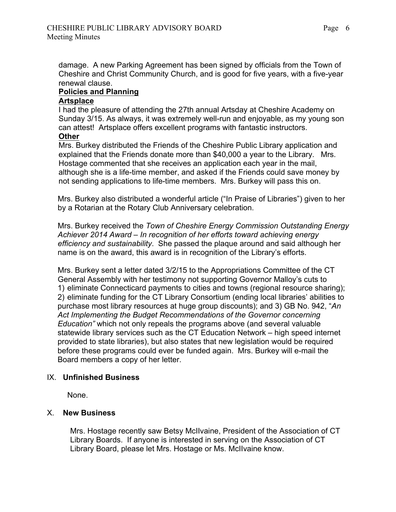damage. A new Parking Agreement has been signed by officials from the Town of Cheshire and Christ Community Church, and is good for five years, with a five-year renewal clause.

### **Policies and Planning**

#### **Artsplace**

I had the pleasure of attending the 27th annual Artsday at Cheshire Academy on Sunday 3/15. As always, it was extremely well-run and enjoyable, as my young son can attest! Artsplace offers excellent programs with fantastic instructors. **Other**

Mrs. Burkey distributed the Friends of the Cheshire Public Library application and explained that the Friends donate more than \$40,000 a year to the Library. Mrs. Hostage commented that she receives an application each year in the mail, although she is a life-time member, and asked if the Friends could save money by not sending applications to life-time members. Mrs. Burkey will pass this on.

 Mrs. Burkey also distributed a wonderful article ("In Praise of Libraries") given to her by a Rotarian at the Rotary Club Anniversary celebration.

 Mrs. Burkey received the *Town of Cheshire Energy Commission Outstanding Energy Achiever 2014 Award – In recognition of her efforts toward achieving energy efficiency and sustainability*. She passed the plaque around and said although her name is on the award, this award is in recognition of the Library's efforts.

 Mrs. Burkey sent a letter dated 3/2/15 to the Appropriations Committee of the CT General Assembly with her testimony not supporting Governor Malloy's cuts to 1) eliminate Connecticard payments to cities and towns (regional resource sharing); 2) eliminate funding for the CT Library Consortium (ending local libraries' abilities to purchase most library resources at huge group discounts); and 3) GB No. 942, "*An Act Implementing the Budget Recommendations of the Governor concerning Education"* which not only repeals the programs above (and several valuable statewide library services such as the CT Education Network – high speed internet provided to state libraries), but also states that new legislation would be required before these programs could ever be funded again. Mrs. Burkey will e-mail the Board members a copy of her letter.

## IX. **Unfinished Business**

None.

#### X. **New Business**

Mrs. Hostage recently saw Betsy McIIvaine, President of the Association of CT Library Boards. If anyone is interested in serving on the Association of CT Library Board, please let Mrs. Hostage or Ms. McIIvaine know.